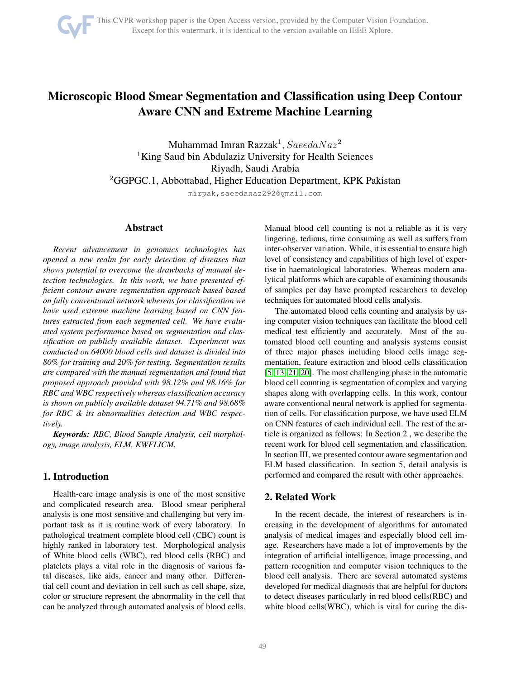# Microscopic Blood Smear Segmentation and Classification using Deep Contour Aware CNN and Extreme Machine Learning

Muhammad Imran Razzak $^1, SaeedaNaz^2$ <sup>1</sup>King Saud bin Abdulaziz University for Health Sciences Riyadh, Saudi Arabia <sup>2</sup>GGPGC.1, Abbottabad, Higher Education Department, KPK Pakistan

mirpak,saeedanaz292@gmail.com

## Abstract

*Recent advancement in genomics technologies has opened a new realm for early detection of diseases that shows potential to overcome the drawbacks of manual detection technologies. In this work, we have presented efficient contour aware segmentation approach based based on fully conventional network whereas for classification we have used extreme machine learning based on CNN features extracted from each segmented cell. We have evaluated system performance based on segmentation and classification on publicly available dataset. Experiment was conducted on 64000 blood cells and dataset is divided into 80% for training and 20% for testing. Segmentation results are compared with the manual segmentation and found that proposed approach provided with 98.12% and 98.16% for RBC and WBC respectively whereas classification accuracy is shown on publicly available dataset 94.71% and 98.68% for RBC & its abnormalities detection and WBC respectively.*

*Keywords: RBC, Blood Sample Analysis, cell morphology, image analysis, ELM, KWFLICM.*

# 1. Introduction

Health-care image analysis is one of the most sensitive and complicated research area. Blood smear peripheral analysis is one most sensitive and challenging but very important task as it is routine work of every laboratory. In pathological treatment complete blood cell (CBC) count is highly ranked in laboratory test. Morphological analysis of White blood cells (WBC), red blood cells (RBC) and platelets plays a vital role in the diagnosis of various fatal diseases, like aids, cancer and many other. Differential cell count and deviation in cell such as cell shape, size, color or structure represent the abnormality in the cell that can be analyzed through automated analysis of blood cells. Manual blood cell counting is not a reliable as it is very lingering, tedious, time consuming as well as suffers from inter-observer variation. While, it is essential to ensure high level of consistency and capabilities of high level of expertise in haematological laboratories. Whereas modern analytical platforms which are capable of examining thousands of samples per day have prompted researchers to develop techniques for automated blood cells analysis.

The automated blood cells counting and analysis by using computer vision techniques can facilitate the blood cell medical test efficiently and accurately. Most of the automated blood cell counting and analysis systems consist of three major phases including blood cells image segmentation, feature extraction and blood cells classification [\[5,](#page-5-0) [13,](#page-5-1) [21,](#page-6-0) [20\]](#page-6-1). The most challenging phase in the automatic blood cell counting is segmentation of complex and varying shapes along with overlapping cells. In this work, contour aware conventional neural network is applied for segmentation of cells. For classification purpose, we have used ELM on CNN features of each individual cell. The rest of the article is organized as follows: In Section 2 , we describe the recent work for blood cell segmentation and classification. In section III, we presented contour aware segmentation and ELM based classification. In section 5, detail analysis is performed and compared the result with other approaches.

# 2. Related Work

In the recent decade, the interest of researchers is increasing in the development of algorithms for automated analysis of medical images and especially blood cell image. Researchers have made a lot of improvements by the integration of artificial intelligence, image processing, and pattern recognition and computer vision techniques to the blood cell analysis. There are several automated systems developed for medical diagnosis that are helpful for doctors to detect diseases particularly in red blood cells(RBC) and white blood cells(WBC), which is vital for curing the dis-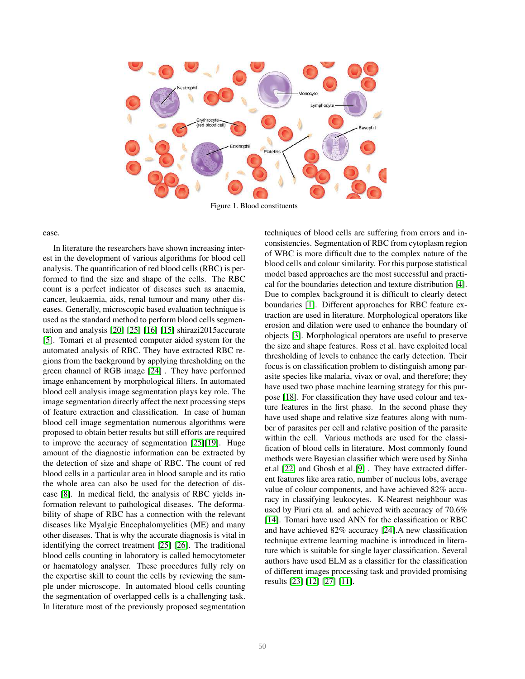

Figure 1. Blood constituents

ease.

In literature the researchers have shown increasing interest in the development of various algorithms for blood cell analysis. The quantification of red blood cells (RBC) is performed to find the size and shape of the cells. The RBC count is a perfect indicator of diseases such as anaemia, cancer, leukaemia, aids, renal tumour and many other diseases. Generally, microscopic based evaluation technique is used as the standard method to perform blood cells segmentation and analysis [\[20\]](#page-6-1) [\[25\]](#page-6-2) [\[16\]](#page-5-2) [\[15\]](#page-5-3) shirazi2015accurate [\[5\]](#page-5-0). Tomari et al presented computer aided system for the automated analysis of RBC. They have extracted RBC regions from the background by applying thresholding on the green channel of RGB image [\[24\]](#page-6-3) . They have performed image enhancement by morphological filters. In automated blood cell analysis image segmentation plays key role. The image segmentation directly affect the next processing steps of feature extraction and classification. In case of human blood cell image segmentation numerous algorithms were proposed to obtain better results but still efforts are required to improve the accuracy of segmentation [\[25\]](#page-6-2)[\[19\]](#page-5-4). Huge amount of the diagnostic information can be extracted by the detection of size and shape of RBC. The count of red blood cells in a particular area in blood sample and its ratio the whole area can also be used for the detection of disease [\[8\]](#page-5-5). In medical field, the analysis of RBC yields information relevant to pathological diseases. The deformability of shape of RBC has a connection with the relevant diseases like Myalgic Encephalomyelities (ME) and many other diseases. That is why the accurate diagnosis is vital in identifying the correct treatment [\[25\]](#page-6-2) [\[26\]](#page-6-4). The traditional blood cells counting in laboratory is called hemocytometer or haematology analyser. These procedures fully rely on the expertise skill to count the cells by reviewing the sample under microscope. In automated blood cells counting the segmentation of overlapped cells is a challenging task. In literature most of the previously proposed segmentation

techniques of blood cells are suffering from errors and inconsistencies. Segmentation of RBC from cytoplasm region of WBC is more difficult due to the complex nature of the blood cells and colour similarity. For this purpose statistical model based approaches are the most successful and practical for the boundaries detection and texture distribution [\[4\]](#page-5-6). Due to complex background it is difficult to clearly detect boundaries [\[1\]](#page-5-7). Different approaches for RBC feature extraction are used in literature. Morphological operators like erosion and dilation were used to enhance the boundary of objects [\[3\]](#page-5-8). Morphological operators are useful to preserve the size and shape features. Ross et al. have exploited local thresholding of levels to enhance the early detection. Their focus is on classification problem to distinguish among parasite species like malaria, vivax or oval, and therefore; they have used two phase machine learning strategy for this purpose [\[18\]](#page-5-9). For classification they have used colour and texture features in the first phase. In the second phase they have used shape and relative size features along with number of parasites per cell and relative position of the parasite within the cell. Various methods are used for the classification of blood cells in literature. Most commonly found methods were Bayesian classifier which were used by Sinha et.al [\[22\]](#page-6-5) and Ghosh et al.[\[9\]](#page-5-10) . They have extracted different features like area ratio, number of nucleus lobs, average value of colour components, and have achieved 82% accuracy in classifying leukocytes. K-Nearest neighbour was used by Piuri eta al. and achieved with accuracy of 70.6% [\[14\]](#page-5-11). Tomari have used ANN for the classification or RBC and have achieved 82% accuracy [\[24\]](#page-6-3).A new classification technique extreme learning machine is introduced in literature which is suitable for single layer classification. Several authors have used ELM as a classifier for the classification of different images processing task and provided promising results [\[23\]](#page-6-6) [\[12\]](#page-5-12) [\[27\]](#page-6-7) [\[11\]](#page-5-13).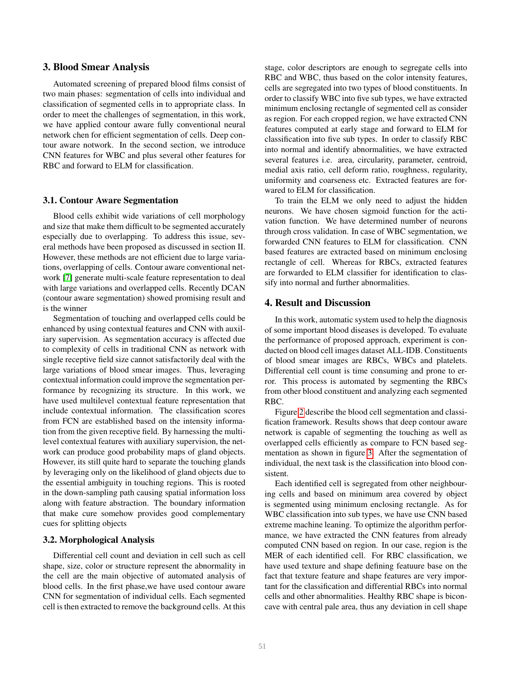## 3. Blood Smear Analysis

Automated screening of prepared blood films consist of two main phases: segmentation of cells into individual and classification of segmented cells in to appropriate class. In order to meet the challenges of segmentation, in this work, we have applied contour aware fully conventional neural network chen for efficient segmentation of cells. Deep contour aware notwork. In the second section, we introduce CNN features for WBC and plus several other features for RBC and forward to ELM for classification.

#### 3.1. Contour Aware Segmentation

Blood cells exhibit wide variations of cell morphology and size that make them difficult to be segmented accurately especially due to overlapping. To address this issue, several methods have been proposed as discussed in section II. However, these methods are not efficient due to large variations, overlapping of cells. Contour aware conventional network [\[7\]](#page-5-14) generate multi-scale feature representation to deal with large variations and overlapped cells. Recently DCAN (contour aware segmentation) showed promising result and is the winner

Segmentation of touching and overlapped cells could be enhanced by using contextual features and CNN with auxiliary supervision. As segmentation accuracy is affected due to complexity of cells in traditional CNN as network with single receptive field size cannot satisfactorily deal with the large variations of blood smear images. Thus, leveraging contextual information could improve the segmentation performance by recognizing its structure. In this work, we have used multilevel contextual feature representation that include contextual information. The classification scores from FCN are established based on the intensity information from the given receptive field. By harnessing the multilevel contextual features with auxiliary supervision, the network can produce good probability maps of gland objects. However, its still quite hard to separate the touching glands by leveraging only on the likelihood of gland objects due to the essential ambiguity in touching regions. This is rooted in the down-sampling path causing spatial information loss along with feature abstraction. The boundary information that make cure somehow provides good complementary cues for splitting objects

#### 3.2. Morphological Analysis

Differential cell count and deviation in cell such as cell shape, size, color or structure represent the abnormality in the cell are the main objective of automated analysis of blood cells. In the first phase,we have used contour aware CNN for segmentation of individual cells. Each segmented cell is then extracted to remove the background cells. At this

stage, color descriptors are enough to segregate cells into RBC and WBC, thus based on the color intensity features, cells are segregated into two types of blood constituents. In order to classify WBC into five sub types, we have extracted minimum enclosing rectangle of segmented cell as consider as region. For each cropped region, we have extracted CNN features computed at early stage and forward to ELM for classification into five sub types. In order to classify RBC into normal and identify abnormalities, we have extracted several features i.e. area, circularity, parameter, centroid, medial axis ratio, cell deform ratio, roughness, regularity, uniformity and coarseness etc. Extracted features are forwared to ELM for classification.

To train the ELM we only need to adjust the hidden neurons. We have chosen sigmoid function for the activation function. We have determined number of neurons through cross validation. In case of WBC segmentation, we forwarded CNN features to ELM for classification. CNN based features are extracted based on minimum enclosing rectangle of cell. Whereas for RBCs, extracted features are forwarded to ELM classifier for identification to classify into normal and further abnormalities.

### 4. Result and Discussion

In this work, automatic system used to help the diagnosis of some important blood diseases is developed. To evaluate the performance of proposed approach, experiment is conducted on blood cell images dataset ALL-IDB. Constituents of blood smear images are RBCs, WBCs and platelets. Differential cell count is time consuming and prone to error. This process is automated by segmenting the RBCs from other blood constituent and analyzing each segmented RBC.

Figure [2](#page-3-0) describe the blood cell segmentation and classification framework. Results shows that deep contour aware network is capable of segmenting the touching as well as overlapped cells efficiently as compare to FCN based segmentation as shown in figure [3.](#page-4-0) After the segmentation of individual, the next task is the classification into blood consistent.

Each identified cell is segregated from other neighbouring cells and based on minimum area covered by object is segmented using minimum enclosing rectangle. As for WBC classification into sub types, we have use CNN based extreme machine leaning. To optimize the algorithm performance, we have extracted the CNN features from already computed CNN based on region. In our case, region is the MER of each identified cell. For RBC classification, we have used texture and shape defining featuure base on the fact that texture feature and shape features are very important for the classification and differential RBCs into normal cells and other abnormalities. Healthy RBC shape is biconcave with central pale area, thus any deviation in cell shape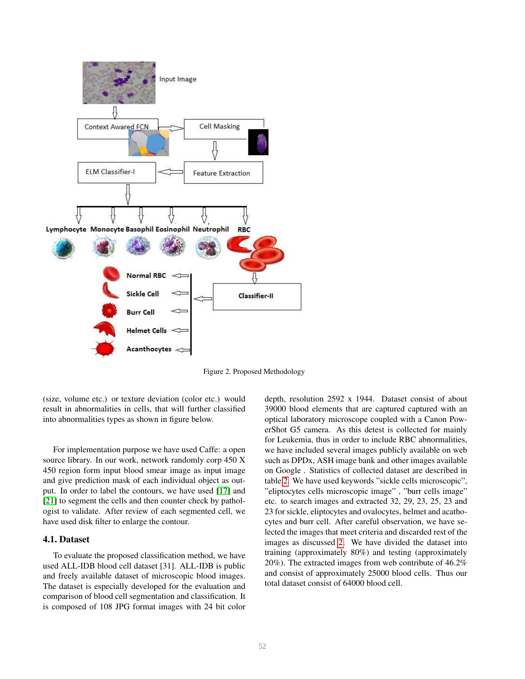

<span id="page-3-0"></span>Figure 2. Proposed Methodology

(size, volume etc.) or texture deviation (color etc.) would result in abnormalities in cells, that will further classified into abnormalities types as shown in figure below.

For implementation purpose we have used Caffe: a open source library. In our work, network randomly corp 450 X 450 region form input blood smear image as input image and give prediction mask of each individual object as output. In order to label the contours, we have used [\[17\]](#page-5-15) and [\[21\]](#page-6-0) to segment the cells and then counter check by pathologist to validate. After review of each segmented cell, we have used disk filter to enlarge the contour.

## 4.1. Dataset

To evaluate the proposed classification method, we have used ALL-IDB blood cell dataset [31]. ALL-IDB is public and freely available dataset of microscopic blood images. The dataset is especially developed for the evaluation and comparison of blood cell segmentation and classification. It is composed of 108 JPG format images with 24 bit color depth, resolution 2592 x 1944. Dataset consist of about 39000 blood elements that are captured captured with an optical laboratory microscope coupled with a Canon PowerShot G5 camera. As this detest is collected for mainly for Leukemia, thus in order to include RBC abnormalities, we have included several images publicly available on web such as DPDx, ASH image bank and other images available on Google . Statistics of collected dataset are described in table [2.](#page-4-1) We have used keywords "sickle cells microscopic", "eliptocytes cells microscopic image" , "burr cells image" etc. to search images and extracted 32, 29, 23, 25, 23 and 23 for sickle, eliptocytes and ovalocytes, helmet and acathocytes and burr cell. After careful observation, we have selected the images that meet criteria and discarded rest of the images as discussed [2.](#page-4-1) We have divided the dataset into training (approximately 80%) and testing (approximately 20%). The extracted images from web contribute of 46.2% and consist of approximately 25000 blood cells. Thus our total dataset consist of 64000 blood cell.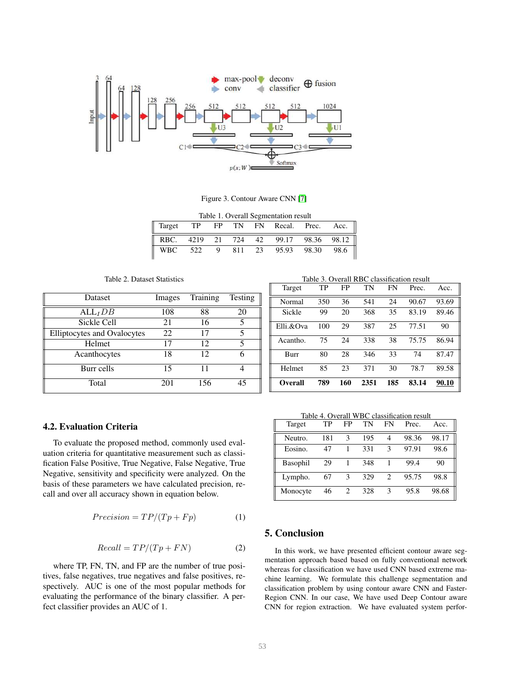

<span id="page-4-0"></span>Figure 3. Contour Aware CNN [\[7\]](#page-5-14)

| Table 1. Overall Segmentation result |  |  |  |  |                                       |  |  |
|--------------------------------------|--|--|--|--|---------------------------------------|--|--|
| Target                               |  |  |  |  | TP FP TN FN Recal. Prec. Acc.         |  |  |
|                                      |  |  |  |  | RBC. 4219 21 724 42 99.17 98.36 98.12 |  |  |
|                                      |  |  |  |  | WBC 522 9 811 23 95.93 98.30 98.6     |  |  |

<span id="page-4-1"></span>Table 2. Dataset Statistics

| Dataset                     | Images | Training | Testing |
|-----------------------------|--------|----------|---------|
| $ALL_IDB$                   | 108    | 88       | 20      |
| Sickle Cell                 | 21     | 16       | 5       |
| Elliptocytes and Ovalocytes | 22     | 17       | 5       |
| Helmet                      | 17     | 12       | 5       |
| Acanthocytes                | 18     | 12       |         |
| Burr cells                  | 15     | 11       |         |
| Total                       | 201    | 156      | 45      |

 $T(1, 2, 0, 1)$   $T(3, 1, 2)$ 

| Target    | TP  | FP  | TN   | FN  | Prec. | Acc.  |
|-----------|-----|-----|------|-----|-------|-------|
| Normal    | 350 | 36  | 541  | 24  | 90.67 | 93.69 |
| Sickle    | 99  | 20  | 368  | 35  | 83.19 | 89.46 |
| Elli.&Ova | 100 | 29  | 387  | 25  | 77.51 | 90    |
| Acantho.  | 75  | 24  | 338  | 38  | 75.75 | 86.94 |
| Burr      | 80  | 28  | 346  | 33  | 74    | 87.47 |
| Helmet    | 85  | 23  | 371  | 30  | 78.7  | 89.58 |
| Overall   | 789 | 160 | 2351 | 185 | 83.14 | 90.10 |

# 4.2. Evaluation Criteria

To evaluate the proposed method, commonly used evaluation criteria for quantitative measurement such as classification False Positive, True Negative, False Negative, True Negative, sensitivity and specificity were analyzed. On the basis of these parameters we have calculated precision, recall and over all accuracy shown in equation below.

$$
Precision = TP/(Tp + Fp)
$$
 (1)

$$
Recall = TP/(Tp + FN)
$$
 (2)

where TP, FN, TN, and FP are the number of true positives, false negatives, true negatives and false positives, respectively. AUC is one of the most popular methods for evaluating the performance of the binary classifier. A perfect classifier provides an AUC of 1.

Table 4. Overall WBC classification result

| Target   | TP  | FP | TN  | FN | Prec. | Acc.  |
|----------|-----|----|-----|----|-------|-------|
| Neutro.  | 181 | 3  | 195 | 4  | 98.36 | 98.17 |
| Eosino.  | 47  |    | 331 | ٩  | 97.91 | 98.6  |
| Basophil | 29  |    | 348 |    | 99.4  | 90    |
| Lympho.  | 67  | 3  | 329 | 2  | 95.75 | 98.8  |
| Monocyte | 46  | 2  | 328 | 3  | 95.8  | 98.68 |

# 5. Conclusion

In this work, we have presented efficient contour aware segmentation approach based based on fully conventional network whereas for classification we have used CNN based extreme machine learning. We formulate this challenge segmentation and classification problem by using contour aware CNN and Faster-Region CNN. In our case, We have used Deep Contour aware CNN for region extraction. We have evaluated system perfor-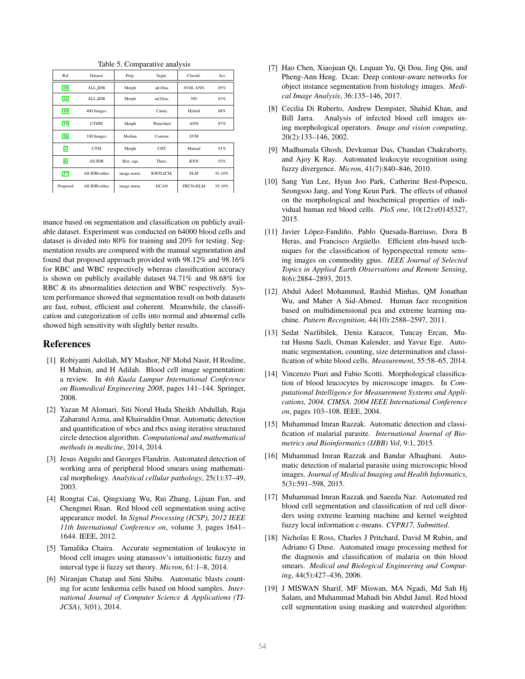| Ref      | Dataset        | Prep.       | Segm.       | Classifi.  | Acc    |
|----------|----------------|-------------|-------------|------------|--------|
| [20]     | <b>ALL_IDB</b> | Morph       | ad.Otsu     | SVM, ANN   | 85%    |
| $[24]$   | <b>ALL_IDB</b> | Morph       | ad.Otsu.    | NN         | 83%    |
| $[10]$   | 400 Images     |             | Canny       | Hybrid     | 88%    |
| $[19]$   | <b>UTHM</b>    | Morph       | Watershed   | <b>ANN</b> | 87%    |
| $[26]$   | 100 Images     | Median      | Contour     | <b>SVM</b> |        |
| $[2]$    | <b>UTM</b>     | Morph       | <b>CHT</b>  | Manual     | 91%    |
| [6]      | All-IDB        | Hist. equ   | Thres.      | <b>KNN</b> | 93%    |
| $[17]$   | All-IDB+other  | image norm. | KWFLICM.    | <b>ELM</b> | 91.10% |
| Proposed | All-IDB+other  | image norm. | <b>DCAN</b> | FRCN+ELM   | 95.10% |

Table 5. Comparative analysis

mance based on segmentation and classification on publicly available dataset. Experiment was conducted on 64000 blood cells and dataset is divided into 80% for training and 20% for testing. Segmentation results are compared with the manual segmentation and found that proposed approach provided with 98.12% and 98.16% for RBC and WBC respectively whereas classification accuracy is shown on publicly available dataset 94.71% and 98.68% for RBC & its abnormalities detection and WBC respectively. System performance showed that segmentation result on both datasets are fast, robust, efficient and coherent. Meanwhile, the classification and categorization of cells into normal and abnormal cells showed high sensitivity with slightly better results.

## References

- <span id="page-5-7"></span>[1] Robiyanti Adollah, MY Mashor, NF Mohd Nasir, H Rosline, H Mahsin, and H Adilah. Blood cell image segmentation: a review. In *4th Kuala Lumpur International Conference on Biomedical Engineering 2008*, pages 141–144. Springer, 2008.
- <span id="page-5-17"></span>[2] Yazan M Alomari, Siti Norul Huda Sheikh Abdullah, Raja Zaharatul Azma, and Khairuddin Omar. Automatic detection and quantification of wbcs and rbcs using iterative structured circle detection algorithm. *Computational and mathematical methods in medicine*, 2014, 2014.
- <span id="page-5-8"></span>[3] Jesus Angulo and Georges Flandrin. Automated detection of working area of peripheral blood smears using mathematical morphology. *Analytical cellular pathology*, 25(1):37–49, 2003.
- <span id="page-5-6"></span>[4] Rongtai Cai, Qingxiang Wu, Rui Zhang, Lijuan Fan, and Chengmei Ruan. Red blood cell segmentation using active appearance model. In *Signal Processing (ICSP), 2012 IEEE 11th International Conference on*, volume 3, pages 1641– 1644. IEEE, 2012.
- <span id="page-5-0"></span>[5] Tamalika Chaira. Accurate segmentation of leukocyte in blood cell images using atanassov's intuitionistic fuzzy and interval type ii fuzzy set theory. *Micron*, 61:1–8, 2014.
- <span id="page-5-18"></span>[6] Niranjan Chatap and Sini Shibu. Automatic blasts counting for acute leukemia cells based on blood samples. *International Journal of Computer Science & Applications (TI-JCSA)*, 3(01), 2014.
- <span id="page-5-14"></span>[7] Hao Chen, Xiaojuan Qi, Lequan Yu, Qi Dou, Jing Qin, and Pheng-Ann Heng. Dcan: Deep contour-aware networks for object instance segmentation from histology images. *Medical Image Analysis*, 36:135–146, 2017.
- <span id="page-5-5"></span>[8] Cecilia Di Ruberto, Andrew Dempster, Shahid Khan, and Bill Jarra. Analysis of infected blood cell images using morphological operators. *Image and vision computing*, 20(2):133–146, 2002.
- <span id="page-5-10"></span>[9] Madhumala Ghosh, Devkumar Das, Chandan Chakraborty, and Ajoy K Ray. Automated leukocyte recognition using fuzzy divergence. *Micron*, 41(7):840–846, 2010.
- <span id="page-5-16"></span>[10] Sang Yun Lee, Hyun Joo Park, Catherine Best-Popescu, Seongsoo Jang, and Yong Keun Park. The effects of ethanol on the morphological and biochemical properties of individual human red blood cells. *PloS one*, 10(12):e0145327, 2015.
- <span id="page-5-13"></span>[11] Javier López-Fandiño, Pablo Quesada-Barriuso, Dora B Heras, and Francisco Argüello. Efficient elm-based techniques for the classification of hyperspectral remote sensing images on commodity gpus. *IEEE Journal of Selected Topics in Applied Earth Observations and Remote Sensing*, 8(6):2884–2893, 2015.
- <span id="page-5-12"></span>[12] Abdul Adeel Mohammed, Rashid Minhas, QM Jonathan Wu, and Maher A Sid-Ahmed. Human face recognition based on multidimensional pca and extreme learning machine. *Pattern Recognition*, 44(10):2588–2597, 2011.
- <span id="page-5-1"></span>[13] Sedat Nazlibilek, Deniz Karacor, Tuncay Ercan, Murat Husnu Sazli, Osman Kalender, and Yavuz Ege. Automatic segmentation, counting, size determination and classification of white blood cells. *Measurement*, 55:58–65, 2014.
- <span id="page-5-11"></span>[14] Vincenzo Piuri and Fabio Scotti. Morphological classification of blood leucocytes by microscope images. In *Computational Intelligence for Measurement Systems and Applications, 2004. CIMSA. 2004 IEEE International Conference on*, pages 103–108. IEEE, 2004.
- <span id="page-5-3"></span>[15] Muhammad Imran Razzak. Automatic detection and classification of malarial parasite. *International Journal of Biometrics and Bioinformatics (IJBB) Vol*, 9:1, 2015.
- <span id="page-5-2"></span>[16] Muhammad Imran Razzak and Bandar Alhaqbani. Automatic detection of malarial parasite using microscopic blood images. *Journal of Medical Imaging and Health Informatics*, 5(3):591–598, 2015.
- <span id="page-5-15"></span>[17] Muhammad Imran Razzak and Saeeda Naz. Automated red blood cell segmentation and classification of red cell disorders using extreme learning machine and kernel weighted fuzzy local information c-means. *CVPR17, Submitted*.
- <span id="page-5-9"></span>[18] Nicholas E Ross, Charles J Pritchard, David M Rubin, and Adriano G Duse. Automated image processing method for the diagnosis and classification of malaria on thin blood smears. *Medical and Biological Engineering and Computing*, 44(5):427–436, 2006.
- <span id="page-5-4"></span>[19] J MISWAN Sharif, MF Miswan, MA Ngadi, Md Sah Hj Salam, and Muhammad Mahadi bin Abdul Jamil. Red blood cell segmentation using masking and watershed algorithm: